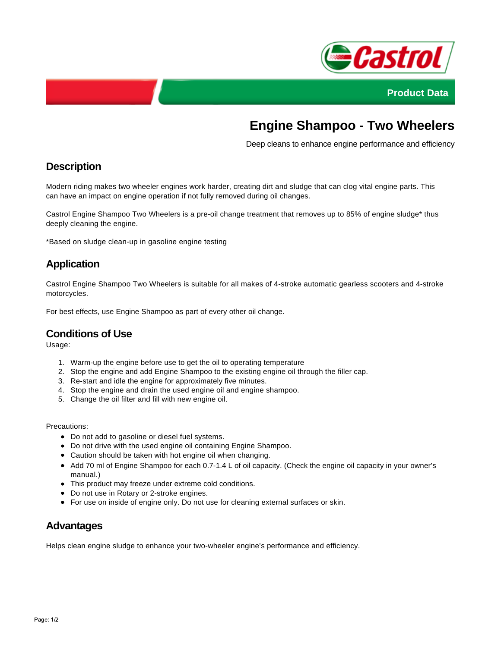



# **Engine Shampoo - Two Wheelers**

Deep cleans to enhance engine performance and efficiency

## **Description**

Modern riding makes two wheeler engines work harder, creating dirt and sludge that can clog vital engine parts. This can have an impact on engine operation if not fully removed during oil changes.

Castrol Engine Shampoo Two Wheelers is a pre-oil change treatment that removes up to 85% of engine sludge\* thus deeply cleaning the engine.

\*Based on sludge clean-up in gasoline engine testing

## **Application**

Castrol Engine Shampoo Two Wheelers is suitable for all makes of 4-stroke automatic gearless scooters and 4-stroke motorcycles.

For best effects, use Engine Shampoo as part of every other oil change.

#### **Conditions of Use**

Usage:

- 1. Warm-up the engine before use to get the oil to operating temperature
- 2. Stop the engine and add Engine Shampoo to the existing engine oil through the filler cap.
- 3. Re-start and idle the engine for approximately five minutes.
- 4. Stop the engine and drain the used engine oil and engine shampoo.
- 5. Change the oil filter and fill with new engine oil.

Precautions:

- Do not add to gasoline or diesel fuel systems.
- Do not drive with the used engine oil containing Engine Shampoo.
- Caution should be taken with hot engine oil when changing.
- Add 70 ml of Engine Shampoo for each 0.7-1.4 L of oil capacity. (Check the engine oil capacity in your owner's manual.)
- This product may freeze under extreme cold conditions.
- Do not use in Rotary or 2-stroke engines.
- For use on inside of engine only. Do not use for cleaning external surfaces or skin.

#### **Advantages**

Helps clean engine sludge to enhance your two-wheeler engine's performance and efficiency.